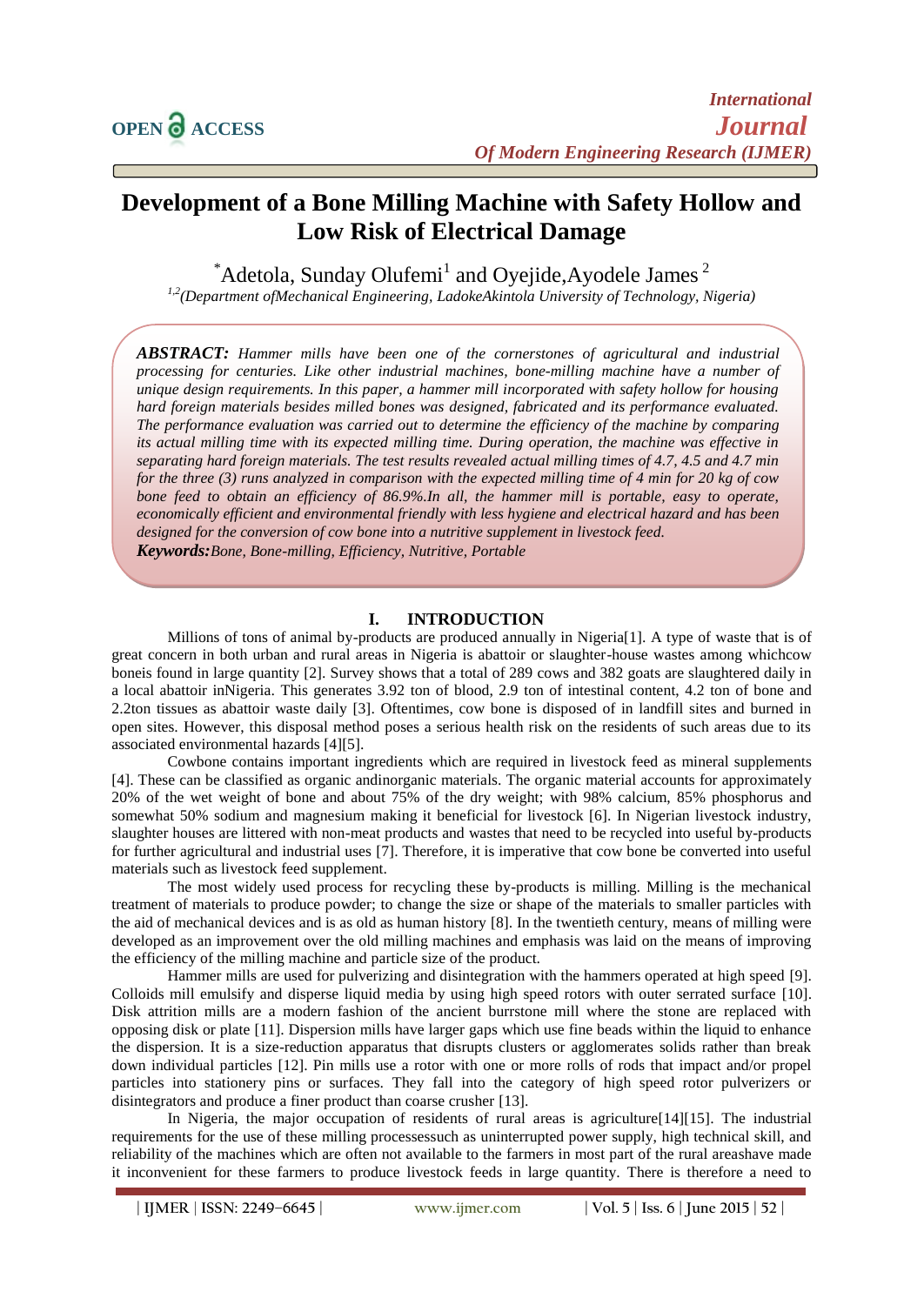# **Development of a Bone Milling Machine with Safety Hollow and Low Risk of Electrical Damage**

 $^*$ Adetola, Sunday Olufemi<sup>1</sup> and Oyejide, Ayodele James<sup>2</sup>

*1,2(Department ofMechanical Engineering, LadokeAkintola University of Technology, Nigeria)*

*ABSTRACT: Hammer mills have been one of the cornerstones of agricultural and industrial processing for centuries. Like other industrial machines, bone-milling machine have a number of unique design requirements. In this paper, a hammer mill incorporated with safety hollow for housing hard foreign materials besides milled bones was designed, fabricated and its performance evaluated. The performance evaluation was carried out to determine the efficiency of the machine by comparing its actual milling time with its expected milling time. During operation, the machine was effective in separating hard foreign materials. The test results revealed actual milling times of 4.7, 4.5 and 4.7 min for the three (3) runs analyzed in comparison with the expected milling time of 4 min for 20 kg of cow bone feed to obtain an efficiency of 86.9%.In all, the hammer mill is portable, easy to operate, economically efficient and environmental friendly with less hygiene and electrical hazard and has been designed for the conversion of cow bone into a nutritive supplement in livestock feed. Keywords:Bone, Bone-milling, Efficiency, Nutritive, Portable* 

**I. INTRODUCTION**

Millions of tons of animal by-products are produced annually in Nigeria[1]. A type of waste that is of great concern in both urban and rural areas in Nigeria is abattoir or slaughter-house wastes among whichcow boneis found in large quantity [2]. Survey shows that a total of 289 cows and 382 goats are slaughtered daily in a local abattoir inNigeria. This generates 3.92 ton of blood, 2.9 ton of intestinal content, 4.2 ton of bone and 2.2ton tissues as abattoir waste daily [3]. Oftentimes, cow bone is disposed of in landfill sites and burned in open sites. However, this disposal method poses a serious health risk on the residents of such areas due to its associated environmental hazards [4][5].

Cowbone contains important ingredients which are required in livestock feed as mineral supplements [4]. These can be classified as organic andinorganic materials. The organic material accounts for approximately 20% of the wet weight of bone and about 75% of the dry weight; with 98% calcium, 85% phosphorus and somewhat 50% sodium and magnesium making it beneficial for livestock [6]. In Nigerian livestock industry, slaughter houses are littered with non-meat products and wastes that need to be recycled into useful by-products for further agricultural and industrial uses [7]. Therefore, it is imperative that cow bone be converted into useful materials such as livestock feed supplement.

The most widely used process for recycling these by-products is milling. Milling is the mechanical treatment of materials to produce powder; to change the size or shape of the materials to smaller particles with the aid of mechanical devices and is as old as human history [8]. In the twentieth century, means of milling were developed as an improvement over the old milling machines and emphasis was laid on the means of improving the efficiency of the milling machine and particle size of the product.

Hammer mills are used for pulverizing and disintegration with the hammers operated at high speed [9]. Colloids mill emulsify and disperse liquid media by using high speed rotors with outer serrated surface [10]. Disk attrition mills are a modern fashion of the ancient burrstone mill where the stone are replaced with opposing disk or plate [11]. Dispersion mills have larger gaps which use fine beads within the liquid to enhance the dispersion. It is a size-reduction apparatus that disrupts clusters or agglomerates solids rather than break down individual particles [12]. Pin mills use a rotor with one or more rolls of rods that impact and/or propel particles into stationery pins or surfaces. They fall into the category of high speed rotor pulverizers or disintegrators and produce a finer product than coarse crusher [13].

In Nigeria, the major occupation of residents of rural areas is agriculture<sup>[14]</sup>[15]. The industrial requirements for the use of these milling processessuch as uninterrupted power supply, high technical skill, and reliability of the machines which are often not available to the farmers in most part of the rural areashave made it inconvenient for these farmers to produce livestock feeds in large quantity. There is therefore a need to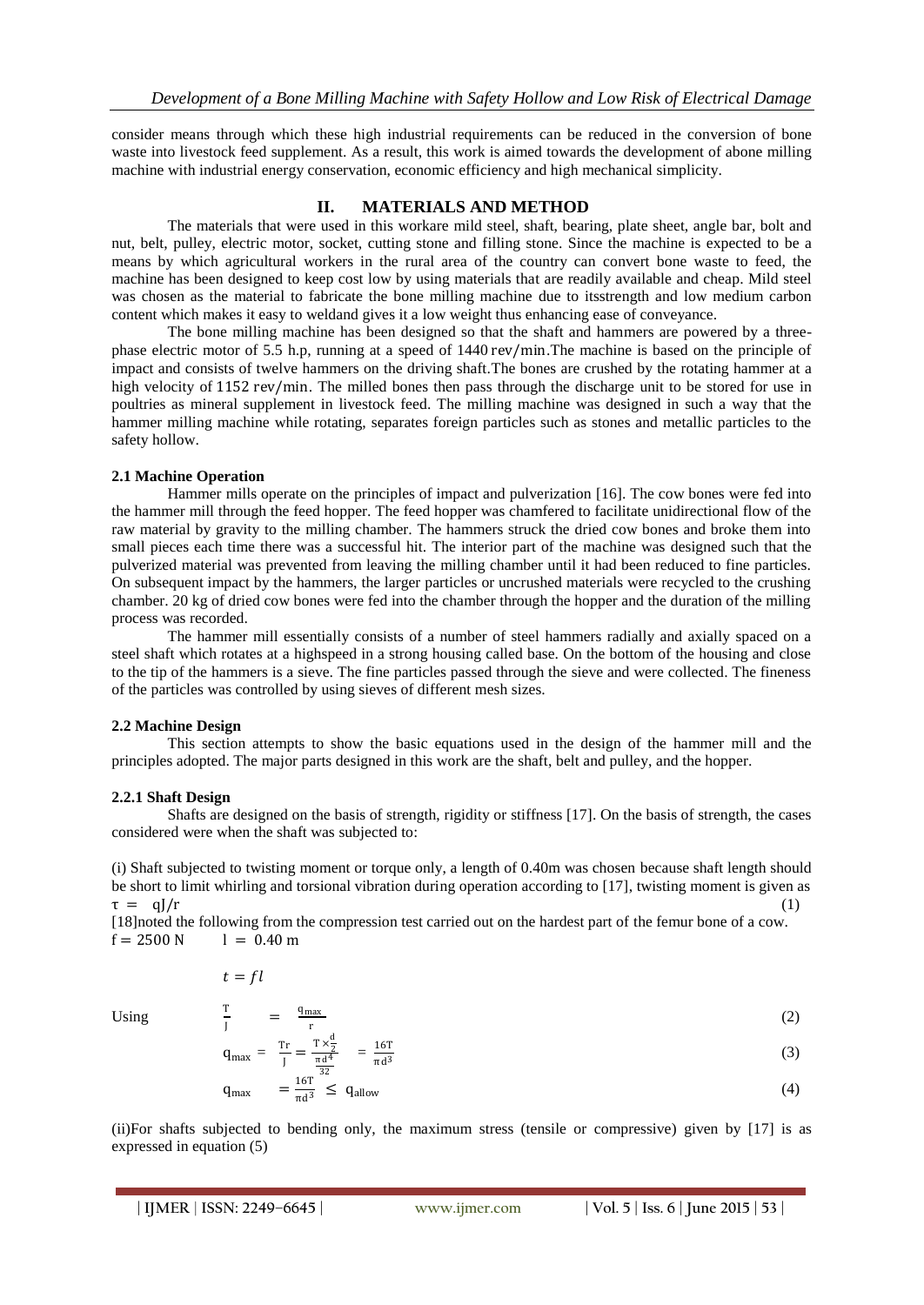consider means through which these high industrial requirements can be reduced in the conversion of bone waste into livestock feed supplement. As a result, this work is aimed towards the development of abone milling machine with industrial energy conservation, economic efficiency and high mechanical simplicity.

## **II. MATERIALS AND METHOD**

The materials that were used in this workare mild steel, shaft, bearing, plate sheet, angle bar, bolt and nut, belt, pulley, electric motor, socket, cutting stone and filling stone. Since the machine is expected to be a means by which agricultural workers in the rural area of the country can convert bone waste to feed, the machine has been designed to keep cost low by using materials that are readily available and cheap. Mild steel was chosen as the material to fabricate the bone milling machine due to itsstrength and low medium carbon content which makes it easy to weldand gives it a low weight thus enhancing ease of conveyance.

The bone milling machine has been designed so that the shaft and hammers are powered by a threephase electric motor of 5.5 h.p, running at a speed of 1440 rev/min.The machine is based on the principle of impact and consists of twelve hammers on the driving shaft.The bones are crushed by the rotating hammer at a high velocity of 1152 rev/min. The milled bones then pass through the discharge unit to be stored for use in poultries as mineral supplement in livestock feed. The milling machine was designed in such a way that the hammer milling machine while rotating, separates foreign particles such as stones and metallic particles to the safety hollow.

#### **2.1 Machine Operation**

Hammer mills operate on the principles of impact and pulverization [16]. The cow bones were fed into the hammer mill through the feed hopper. The feed hopper was chamfered to facilitate unidirectional flow of the raw material by gravity to the milling chamber. The hammers struck the dried cow bones and broke them into small pieces each time there was a successful hit. The interior part of the machine was designed such that the pulverized material was prevented from leaving the milling chamber until it had been reduced to fine particles. On subsequent impact by the hammers, the larger particles or uncrushed materials were recycled to the crushing chamber. 20 kg of dried cow bones were fed into the chamber through the hopper and the duration of the milling process was recorded.

The hammer mill essentially consists of a number of steel hammers radially and axially spaced on a steel shaft which rotates at a highspeed in a strong housing called base. On the bottom of the housing and close to the tip of the hammers is a sieve. The fine particles passed through the sieve and were collected. The fineness of the particles was controlled by using sieves of different mesh sizes.

#### **2.2 Machine Design**

This section attempts to show the basic equations used in the design of the hammer mill and the principles adopted. The major parts designed in this work are the shaft, belt and pulley, and the hopper.

#### **2.2.1 Shaft Design**

Shafts are designed on the basis of strength, rigidity or stiffness [17]. On the basis of strength, the cases considered were when the shaft was subjected to:

(i) Shaft subjected to twisting moment or torque only, a length of 0.40m was chosen because shaft length should be short to limit whirling and torsional vibration during operation according to [17], twisting moment is given as  $\tau = qJ/r$  (1)

[18]noted the following from the compression test carried out on the hardest part of the femur bone of a cow.  $f = 2500 \text{ N}$   $l = 0.40 \text{ m}$ 

$$
t = fl
$$

Using

$$
\frac{\Gamma}{I} = \frac{q_{\text{max}}}{r} \tag{2}
$$

$$
q_{\text{max}} = \frac{\text{Tr}}{J} = \frac{\text{T} \times \frac{d}{2}}{\frac{\pi d^4}{3^2}} = \frac{16 \text{T}}{\pi d^3}
$$
 (3)

$$
q_{\text{max}} = \frac{16T}{\pi d^3} \le q_{\text{allow}}
$$
 (4)

(ii)For shafts subjected to bending only, the maximum stress (tensile or compressive) given by [17] is as expressed in equation (5)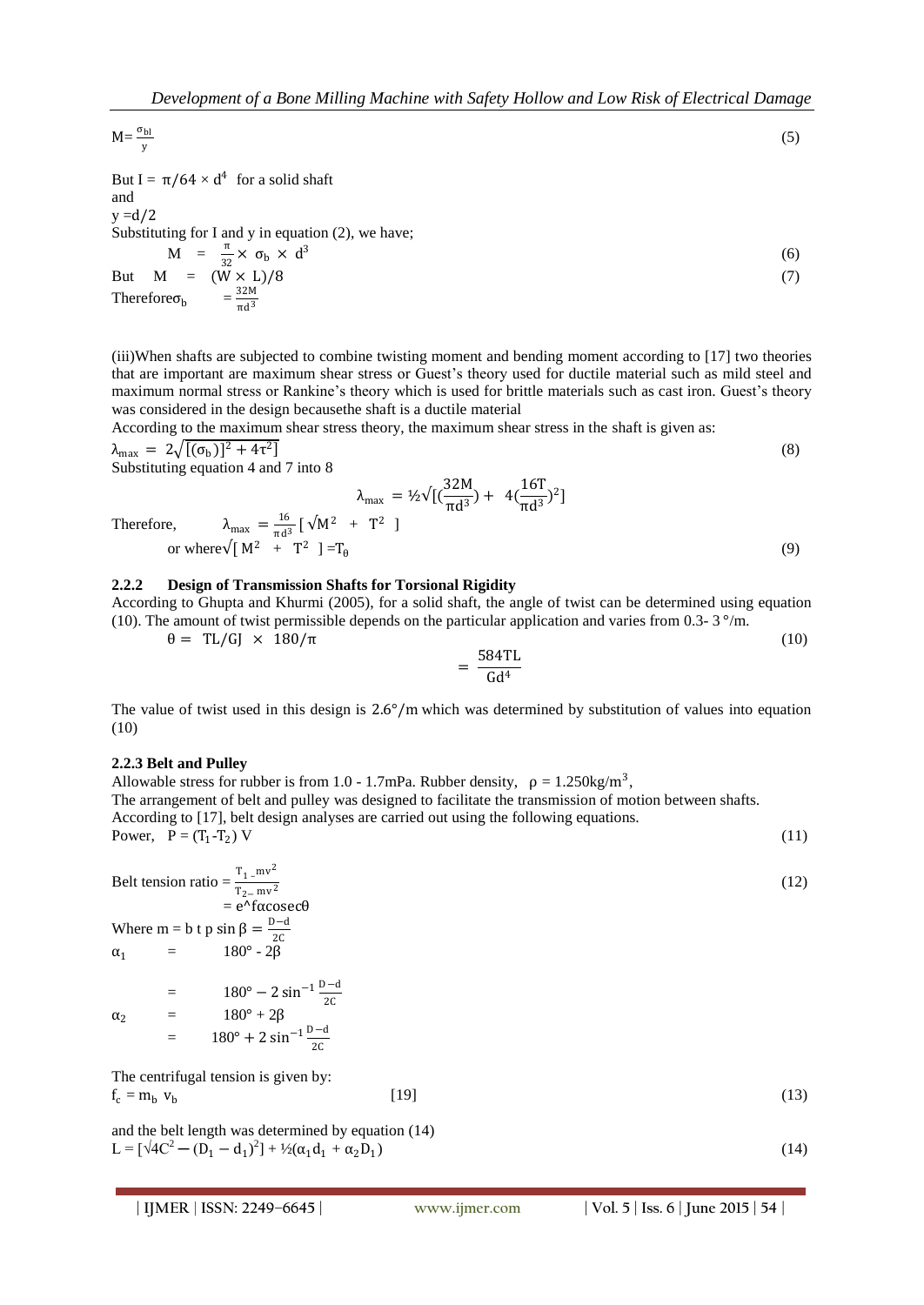$$
M = \frac{\sigma_{bl}}{y} \tag{5}
$$

But I =  $\pi/64 \times d^4$  for a solid shaft and  $y = d/2$ Substituting for I and y in equation (2), we have;  $M = \frac{\pi}{32} \times \sigma_b \times d^3$ But  $M = (W \times L)/8$  (7) Therefore  $\sigma_b$  =  $\frac{32M}{\pi d^3}$ 

 $\pi d^3$ 

(iii)When shafts are subjected to combine twisting moment and bending moment according to [17] two theories that are important are maximum shear stress or Guest's theory used for ductile material such as mild steel and maximum normal stress or Rankine's theory which is used for brittle materials such as cast iron. Guest's theory was considered in the design becausethe shaft is a ductile material

According to the maximum shear stress theory, the maximum shear stress in the shaft is given as:

$$
\lambda_{\text{max}} = 2\sqrt{[(\sigma_{\text{b}})]^2 + 4\tau^2}
$$
\nSubstituting equation 4 and 7 into 8

Substituting equation 4 and 7 into 8

$$
\lambda_{\text{max}} = \frac{16}{\pi d^3} [\sqrt{M^2 + T^2}]
$$
  
Therefore, 
$$
\lambda_{\text{max}} = \frac{16}{\pi d^3} [\sqrt{M^2 + T^2}]
$$
  
or where  $\sqrt{[M^2 + T^2]} = T_\theta$  (9)

#### **2.2.2 Design of Transmission Shafts for Torsional Rigidity**

According to Ghupta and Khurmi (2005), for a solid shaft, the angle of twist can be determined using equation (10). The amount of twist permissible depends on the particular application and varies from 0.3-  $3^{\circ}/\text{m}$ .

$$
\theta = TL/GJ \times 180/\pi \tag{10}
$$

$$
=\frac{584 \text{TL}}{\text{Gd}^4}
$$

The value of twist used in this design is 2.6°/m which was determined by substitution of values into equation (10)

#### **2.2.3 Belt and Pulley**

Allowable stress for rubber is from 1.0 - 1.7mPa. Rubber density,  $\rho = 1.250 \text{kg/m}^3$ , The arrangement of belt and pulley was designed to facilitate the transmission of motion between shafts. According to [17], belt design analyses are carried out using the following equations. Power,  $P = (T_1 - T_2)$ ) V (11)

Belt tension ratio =  $\frac{T_1 - mv^2}{T_1 - mv^2}$ (12)

 $T_{2}-mv^2$  $= e^{\lambda}$  fαcosecθ Where m = b t p sin  $\beta = \frac{D-d}{26}$  $\alpha_1$  = 180° - 2β

 $\alpha_2$  = 180° - 2 sin<sup>-1</sup> $\frac{D-d}{2C}$ <br>180° + 2β  $=$  180° + 2 sin<sup>-1</sup>  $\frac{D-d}{2C}$ 

The centrifugal tension is given by:  
\n
$$
f_c = m_b \, v_b \tag{13}
$$

and the belt length was determined by equation (14) L =  $[\sqrt{4C^2 - (D_1 - d_1)^2}] + \frac{1}{2}(\alpha_1 d_1 + \alpha_2 D_1)$  $(14)$ 

(6)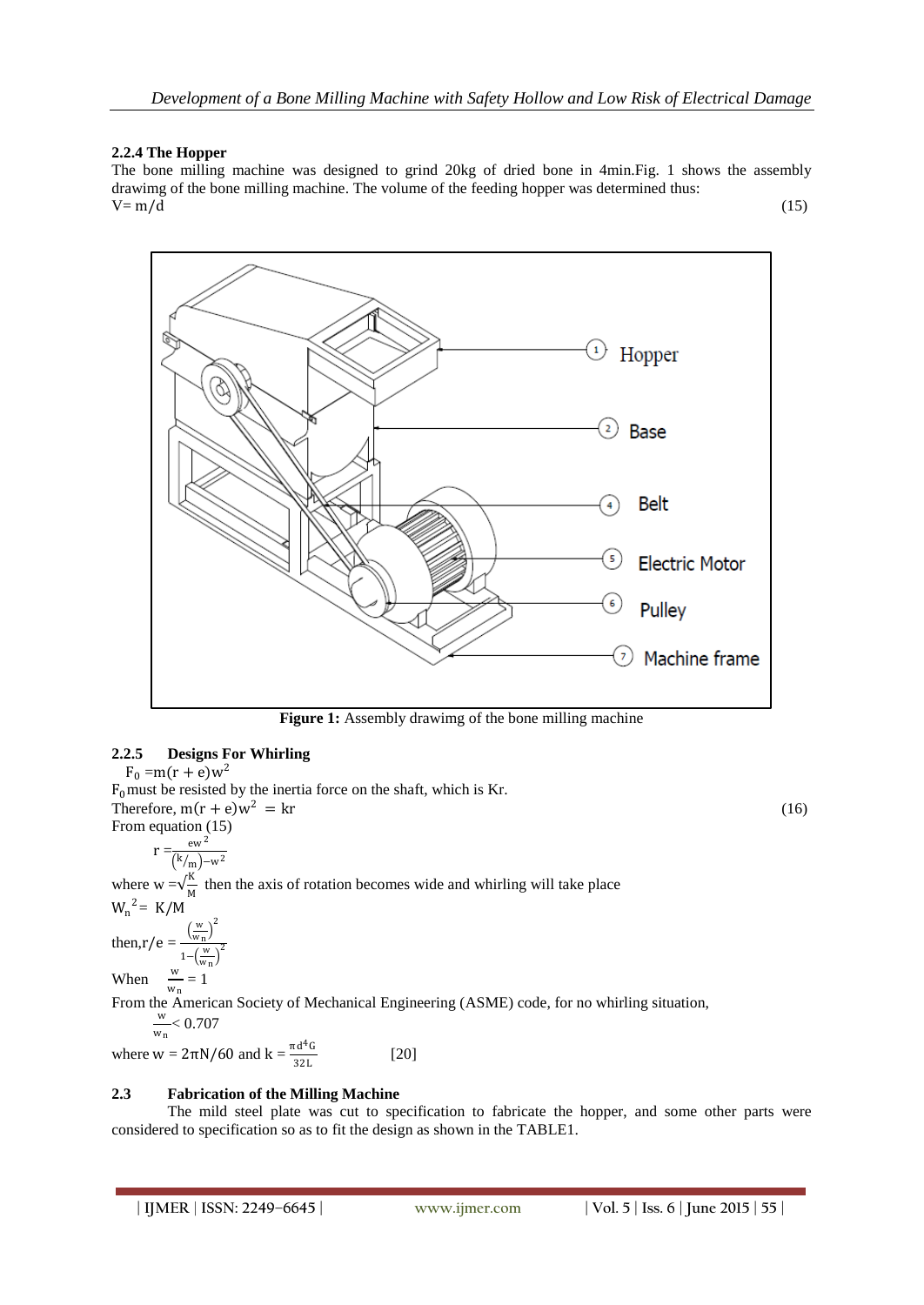### **2.2.4 The Hopper**

The bone milling machine was designed to grind 20kg of dried bone in 4min.Fig. 1 shows the assembly drawimg of the bone milling machine. The volume of the feeding hopper was determined thus:  $V = m/d$  (15)



**Figure 1:** Assembly drawimg of the bone milling machine

## **2.2.5 Designs For Whirling**

 $F_0 = m(r + e)w^2$ 

 $F_0$  must be resisted by the inertia force on the shaft, which is Kr. Therefore,  $m(r + e)w^2 = kr$  (16) From equation (15) ew <sup>2</sup>

$$
r = \frac{ew}{(k/m)-w^2}
$$

where  $w = \sqrt{\frac{K}{M}}$  $\frac{N}{M}$  then the axis of rotation becomes wide and whirling will take place  $W_n^2 = K/M$ 

then,  $r/e = \frac{\left(\frac{w}{w_n}\right)^2}{\left(\frac{w}{w}\right)^2}$  $1-\left(\frac{w}{w_n}\right)^2$ 

When  $\frac{w}{w_n} = 1$ 

From the American Society of Mechanical Engineering (ASME) code, for no whirling situation, w  $\frac{w}{w_n}$  < 0.707

where  $w = 2πN/60$  and  $k = \frac{πd^4G}{22L}$ 32L [20]

#### **2.3 Fabrication of the Milling Machine**

The mild steel plate was cut to specification to fabricate the hopper, and some other parts were considered to specification so as to fit the design as shown in the TABLE1.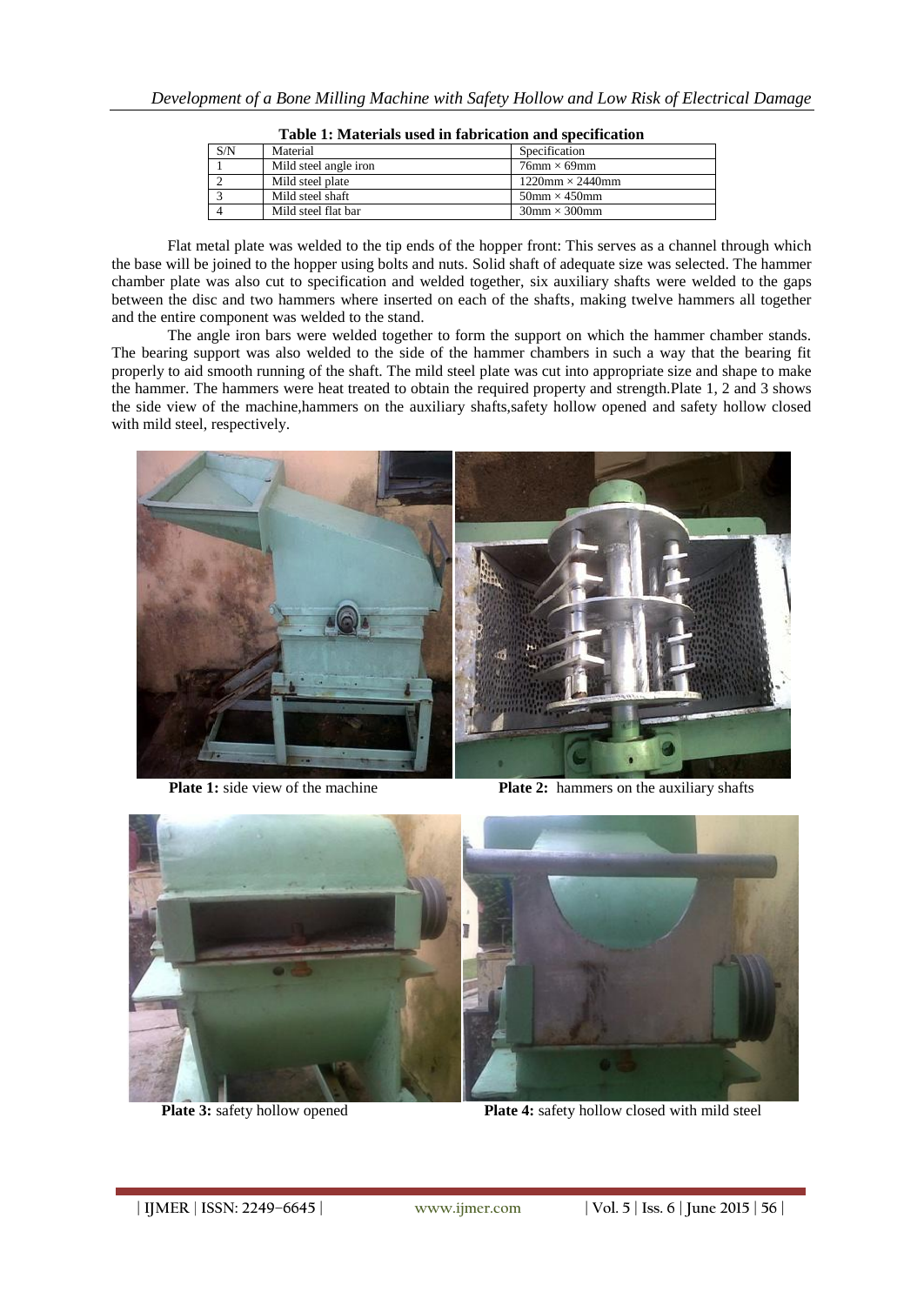| S/N | Material              | Specification                       |  |
|-----|-----------------------|-------------------------------------|--|
|     | Mild steel angle iron | $76$ mm $\times$ 69mm               |  |
|     | Mild steel plate      | $1220$ mm $\times$ 2440mm           |  |
|     | Mild steel shaft      | $50$ mm $\times$ 450mm              |  |
|     | Mild steel flat bar   | $30 \text{mm} \times 300 \text{mm}$ |  |
|     |                       |                                     |  |

**Table 1: Materials used in fabrication and specification**

Flat metal plate was welded to the tip ends of the hopper front: This serves as a channel through which the base will be joined to the hopper using bolts and nuts. Solid shaft of adequate size was selected. The hammer chamber plate was also cut to specification and welded together, six auxiliary shafts were welded to the gaps between the disc and two hammers where inserted on each of the shafts, making twelve hammers all together and the entire component was welded to the stand.

The angle iron bars were welded together to form the support on which the hammer chamber stands. The bearing support was also welded to the side of the hammer chambers in such a way that the bearing fit properly to aid smooth running of the shaft. The mild steel plate was cut into appropriate size and shape to make the hammer. The hammers were heat treated to obtain the required property and strength.Plate 1, 2 and 3 shows the side view of the machine,hammers on the auxiliary shafts,safety hollow opened and safety hollow closed with mild steel, respectively.



**Plate 1:** side view of the machine **Plate 2:** hammers on the auxiliary shafts



Plate 3: safety hollow opened Plate 4: safety hollow closed with mild steel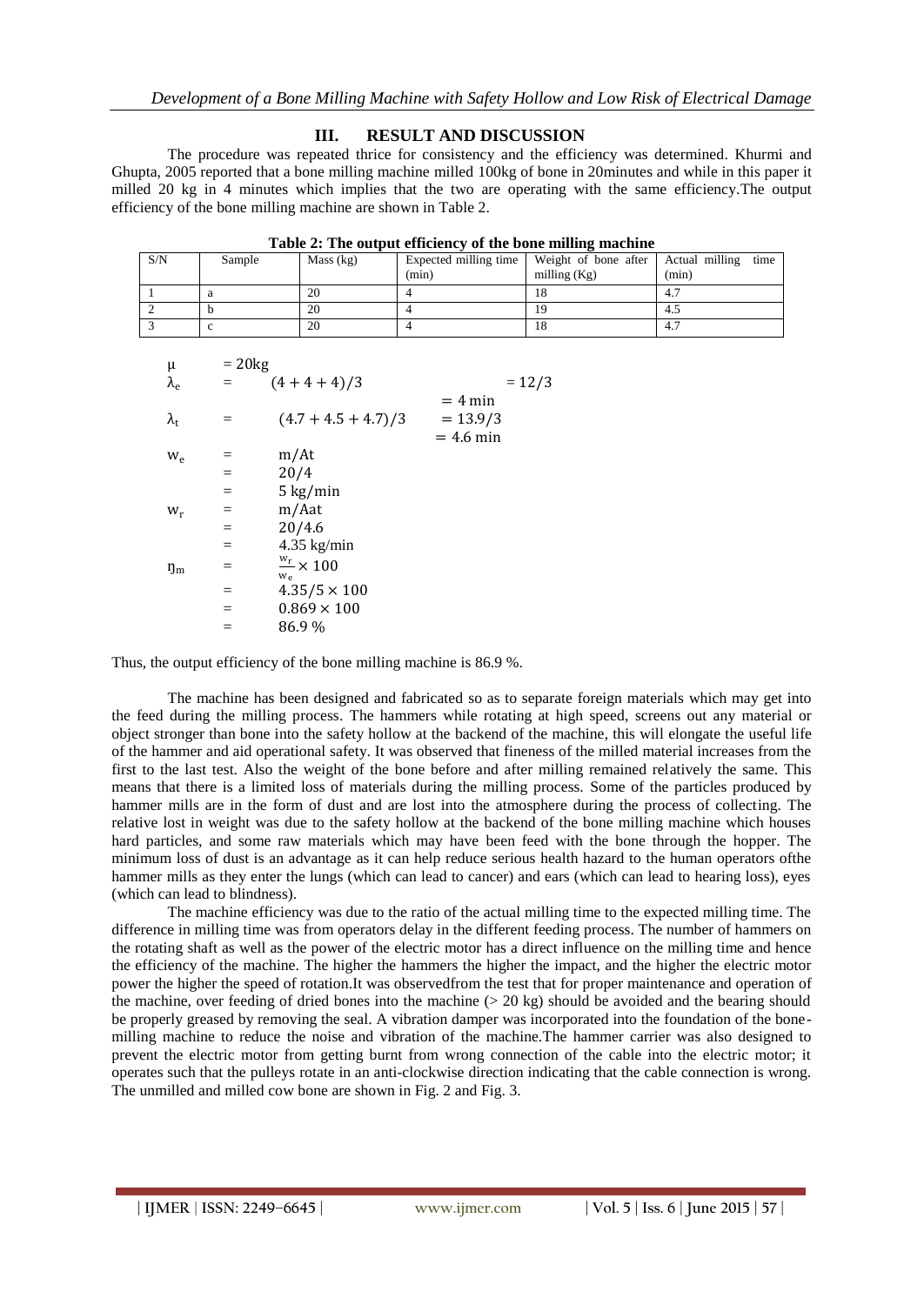## **III. RESULT AND DISCUSSION**

The procedure was repeated thrice for consistency and the efficiency was determined. Khurmi and Ghupta, 2005 reported that a bone milling machine milled 100kg of bone in 20minutes and while in this paper it milled 20 kg in 4 minutes which implies that the two are operating with the same efficiency.The output efficiency of the bone milling machine are shown in Table 2.

| S/N | Sample | Mass (kg) | (min) | Expected milling time   Weight of bone after<br>milling $(Kg)$ | Actual milling<br>time<br>(min) |
|-----|--------|-----------|-------|----------------------------------------------------------------|---------------------------------|
|     |        | 20        |       | 18                                                             |                                 |
|     |        | 20        |       | 19                                                             | 4.5                             |
|     |        | 20        |       | 18                                                             | 4.7                             |

| μ                 | $= 20$ kg |                                     |                                        |
|-------------------|-----------|-------------------------------------|----------------------------------------|
| $\lambda_{\rm e}$ | $=$       | $(4+4+4)/3$                         | $= 12/3$                               |
| $\lambda_{\rm t}$ | $=$       | $(4.7 + 4.5 + 4.7)/3$               | $= 4$ min<br>$= 13.9/3$<br>$= 4.6$ min |
| $W_{\rho}$        | $=$       | m/At                                |                                        |
|                   | $=$       | 20/4                                |                                        |
|                   | $=$       | $5 \text{ kg/min}$                  |                                        |
| $W_r$             | $=$       | m/Aat                               |                                        |
|                   | $=$       | 20/4.6                              |                                        |
|                   | $=$       | $4.35$ kg/min                       |                                        |
| $\eta_{\rm m}$    | $=$       | $\frac{w_r}{\sim} \times 100$<br>We |                                        |
|                   | $=$       | $4.35/5 \times 100$                 |                                        |
|                   | $=$       | $0.869 \times 100$                  |                                        |
|                   | $=$       | 86.9%                               |                                        |
|                   |           |                                     |                                        |

Thus, the output efficiency of the bone milling machine is 86.9 %.

The machine has been designed and fabricated so as to separate foreign materials which may get into the feed during the milling process. The hammers while rotating at high speed, screens out any material or object stronger than bone into the safety hollow at the backend of the machine, this will elongate the useful life of the hammer and aid operational safety. It was observed that fineness of the milled material increases from the first to the last test. Also the weight of the bone before and after milling remained relatively the same. This means that there is a limited loss of materials during the milling process. Some of the particles produced by hammer mills are in the form of dust and are lost into the atmosphere during the process of collecting. The relative lost in weight was due to the safety hollow at the backend of the bone milling machine which houses hard particles, and some raw materials which may have been feed with the bone through the hopper. The minimum loss of dust is an advantage as it can help reduce serious health hazard to the human operators ofthe hammer mills as they enter the lungs (which can lead to cancer) and ears (which can lead to hearing loss), eyes (which can lead to blindness).

The machine efficiency was due to the ratio of the actual milling time to the expected milling time. The difference in milling time was from operators delay in the different feeding process. The number of hammers on the rotating shaft as well as the power of the electric motor has a direct influence on the milling time and hence the efficiency of the machine. The higher the hammers the higher the impact, and the higher the electric motor power the higher the speed of rotation.It was observedfrom the test that for proper maintenance and operation of the machine, over feeding of dried bones into the machine (> 20 kg) should be avoided and the bearing should be properly greased by removing the seal. A vibration damper was incorporated into the foundation of the bonemilling machine to reduce the noise and vibration of the machine.The hammer carrier was also designed to prevent the electric motor from getting burnt from wrong connection of the cable into the electric motor; it operates such that the pulleys rotate in an anti-clockwise direction indicating that the cable connection is wrong. The unmilled and milled cow bone are shown in Fig. 2 and Fig. 3.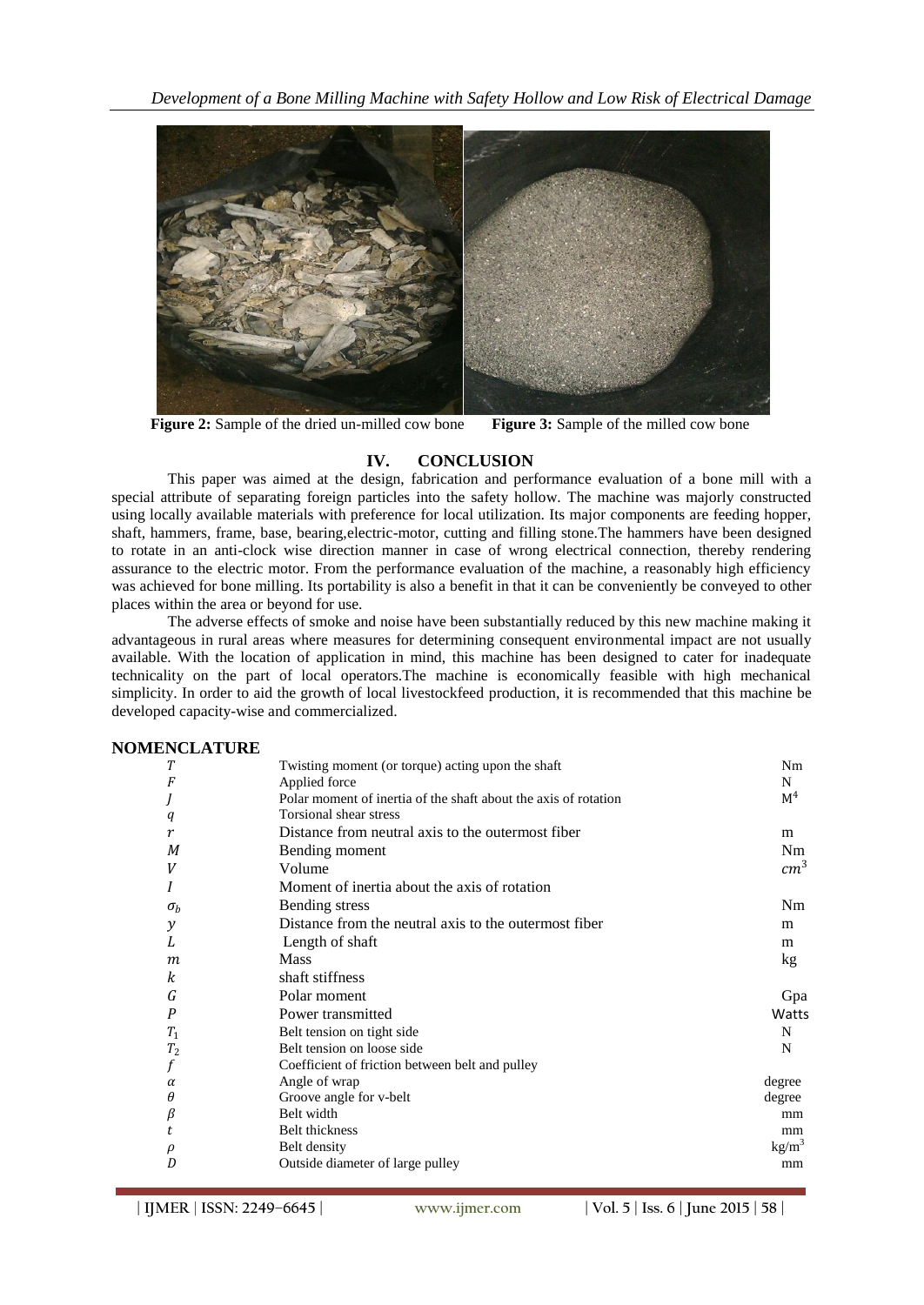*Development of a Bone Milling Machine with Safety Hollow and Low Risk of Electrical Damage*



**Figure 2:** Sample of the dried un-milled cow bone **Figure 3:** Sample of the milled cow bone

## **IV. CONCLUSION**

This paper was aimed at the design, fabrication and performance evaluation of a bone mill with a special attribute of separating foreign particles into the safety hollow. The machine was majorly constructed using locally available materials with preference for local utilization. Its major components are feeding hopper, shaft, hammers, frame, base, bearing,electric-motor, cutting and filling stone.The hammers have been designed to rotate in an anti-clock wise direction manner in case of wrong electrical connection, thereby rendering assurance to the electric motor. From the performance evaluation of the machine, a reasonably high efficiency was achieved for bone milling. Its portability is also a benefit in that it can be conveniently be conveyed to other places within the area or beyond for use.

The adverse effects of smoke and noise have been substantially reduced by this new machine making it advantageous in rural areas where measures for determining consequent environmental impact are not usually available. With the location of application in mind, this machine has been designed to cater for inadequate technicality on the part of local operators.The machine is economically feasible with high mechanical simplicity. In order to aid the growth of local livestockfeed production, it is recommended that this machine be developed capacity-wise and commercialized.

#### **NOMENCLATURE**

| T                | Twisting moment (or torque) acting upon the shaft               | Nm              |
|------------------|-----------------------------------------------------------------|-----------------|
| F                | Applied force                                                   | N               |
|                  | Polar moment of inertia of the shaft about the axis of rotation | M <sup>4</sup>  |
| q                | Torsional shear stress                                          |                 |
| r                | Distance from neutral axis to the outermost fiber               | m               |
| М                | Bending moment                                                  | Nm              |
|                  | Volume                                                          | cm <sup>3</sup> |
|                  | Moment of inertia about the axis of rotation                    |                 |
| $\sigma_b$       | Bending stress                                                  | Nm              |
| y                | Distance from the neutral axis to the outermost fiber           | m               |
| L                | Length of shaft                                                 | m               |
| $\boldsymbol{m}$ | <b>Mass</b>                                                     | kg              |
| k                | shaft stiffness                                                 |                 |
| G                | Polar moment                                                    | Gpa             |
| P                | Power transmitted                                               | Watts           |
| $T_1$            | Belt tension on tight side                                      | N               |
| T <sub>2</sub>   | Belt tension on loose side                                      | N               |
|                  | Coefficient of friction between belt and pulley                 |                 |
| $\alpha$         | Angle of wrap                                                   | degree          |
| θ                | Groove angle for v-belt                                         | degree          |
| β                | Belt width                                                      | mm              |
|                  | Belt thickness                                                  | mm              |
|                  | Belt density                                                    | $\text{kg/m}^3$ |
| D                | Outside diameter of large pulley                                | mm              |